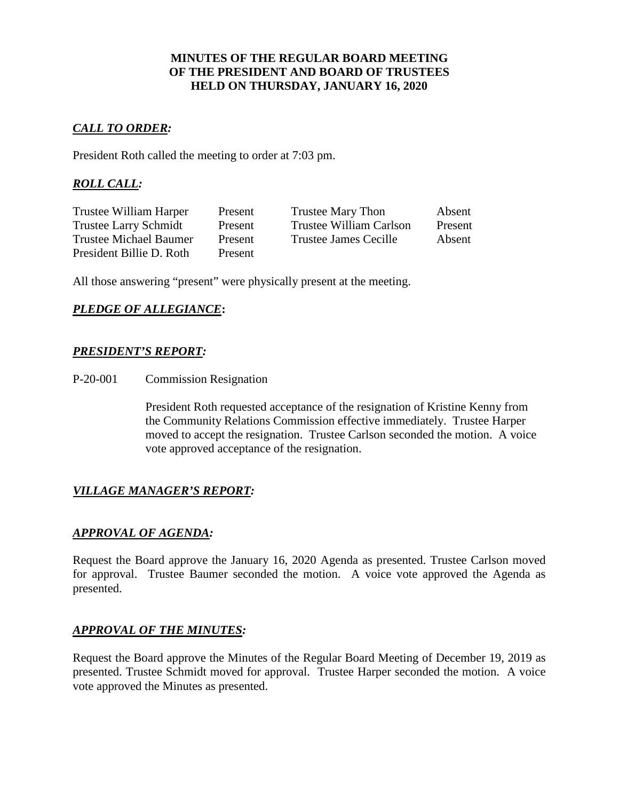### **MINUTES OF THE REGULAR BOARD MEETING OF THE PRESIDENT AND BOARD OF TRUSTEES HELD ON THURSDAY, JANUARY 16, 2020**

# *CALL TO ORDER:*

President Roth called the meeting to order at 7:03 pm.

# *ROLL CALL:*

| Trustee William Harper       | Present | Trustee Mary Thon       | Absent  |
|------------------------------|---------|-------------------------|---------|
| <b>Trustee Larry Schmidt</b> | Present | Trustee William Carlson | Present |
| Trustee Michael Baumer       | Present | Trustee James Cecille   | Absent  |
| President Billie D. Roth     | Present |                         |         |

All those answering "present" were physically present at the meeting.

# *PLEDGE OF ALLEGIANCE***:**

### *PRESIDENT'S REPORT:*

P-20-001 Commission Resignation

President Roth requested acceptance of the resignation of Kristine Kenny from the Community Relations Commission effective immediately. Trustee Harper moved to accept the resignation. Trustee Carlson seconded the motion. A voice vote approved acceptance of the resignation.

# *VILLAGE MANAGER'S REPORT:*

# *APPROVAL OF AGENDA:*

Request the Board approve the January 16, 2020 Agenda as presented. Trustee Carlson moved for approval. Trustee Baumer seconded the motion. A voice vote approved the Agenda as presented.

#### *APPROVAL OF THE MINUTES:*

Request the Board approve the Minutes of the Regular Board Meeting of December 19, 2019 as presented. Trustee Schmidt moved for approval. Trustee Harper seconded the motion. A voice vote approved the Minutes as presented.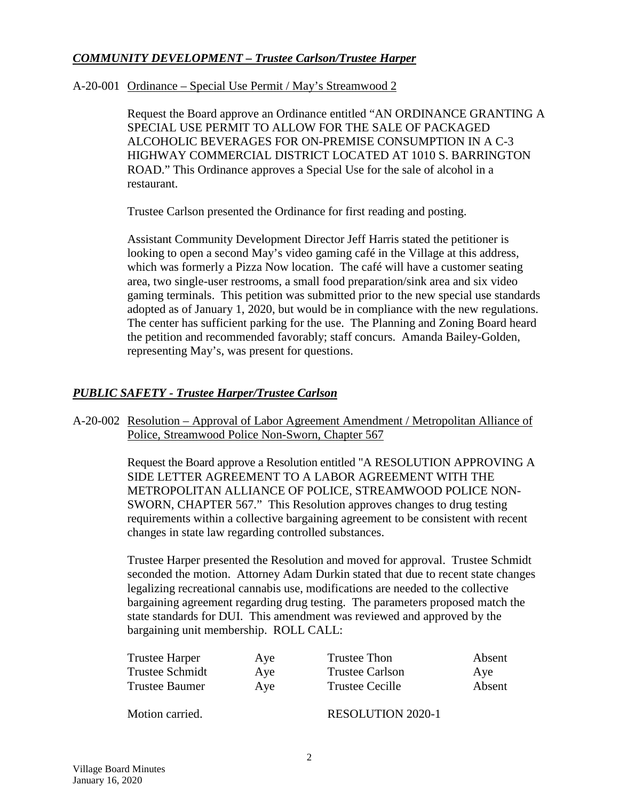# *COMMUNITY DEVELOPMENT – Trustee Carlson/Trustee Harper*

### A-20-001 Ordinance – Special Use Permit / May's Streamwood 2

Request the Board approve an Ordinance entitled "AN ORDINANCE GRANTING A SPECIAL USE PERMIT TO ALLOW FOR THE SALE OF PACKAGED ALCOHOLIC BEVERAGES FOR ON-PREMISE CONSUMPTION IN A C-3 HIGHWAY COMMERCIAL DISTRICT LOCATED AT 1010 S. BARRINGTON ROAD." This Ordinance approves a Special Use for the sale of alcohol in a restaurant.

Trustee Carlson presented the Ordinance for first reading and posting.

Assistant Community Development Director Jeff Harris stated the petitioner is looking to open a second May's video gaming café in the Village at this address, which was formerly a Pizza Now location. The café will have a customer seating area, two single-user restrooms, a small food preparation/sink area and six video gaming terminals. This petition was submitted prior to the new special use standards adopted as of January 1, 2020, but would be in compliance with the new regulations. The center has sufficient parking for the use. The Planning and Zoning Board heard the petition and recommended favorably; staff concurs. Amanda Bailey-Golden, representing May's, was present for questions.

# *PUBLIC SAFETY - Trustee Harper/Trustee Carlson*

A-20-002 Resolution – Approval of Labor Agreement Amendment / Metropolitan Alliance of Police, Streamwood Police Non-Sworn, Chapter 567

> Request the Board approve a Resolution entitled "A RESOLUTION APPROVING A SIDE LETTER AGREEMENT TO A LABOR AGREEMENT WITH THE METROPOLITAN ALLIANCE OF POLICE, STREAMWOOD POLICE NON-SWORN, CHAPTER 567." This Resolution approves changes to drug testing requirements within a collective bargaining agreement to be consistent with recent changes in state law regarding controlled substances.

> Trustee Harper presented the Resolution and moved for approval. Trustee Schmidt seconded the motion. Attorney Adam Durkin stated that due to recent state changes legalizing recreational cannabis use, modifications are needed to the collective bargaining agreement regarding drug testing. The parameters proposed match the state standards for DUI. This amendment was reviewed and approved by the bargaining unit membership. ROLL CALL:

| Trustee Harper  | Aye | Trustee Thon             | Absent |
|-----------------|-----|--------------------------|--------|
| Trustee Schmidt | Aye | <b>Trustee Carlson</b>   | Aye    |
| Trustee Baumer  | Aye | Trustee Cecille          | Absent |
| Motion carried. |     | <b>RESOLUTION 2020-1</b> |        |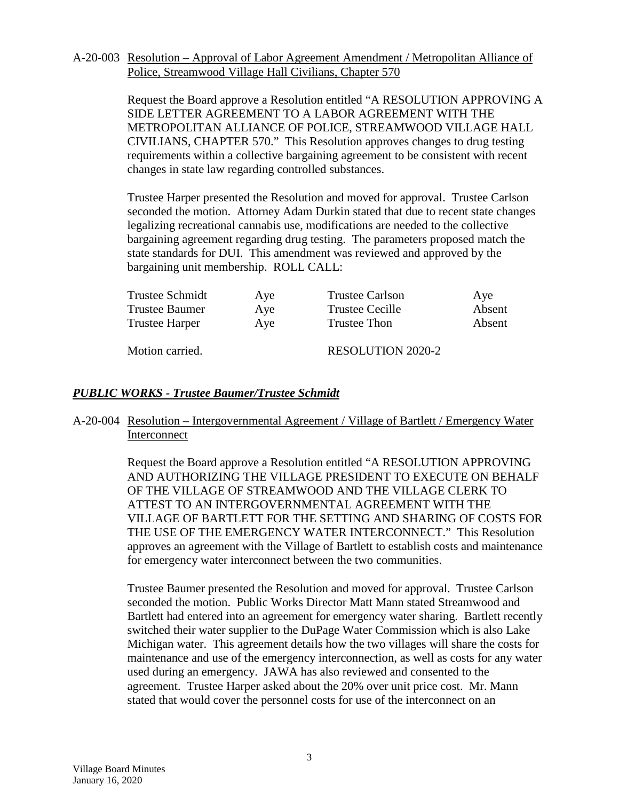#### A-20-003 Resolution – Approval of Labor Agreement Amendment / Metropolitan Alliance of Police, Streamwood Village Hall Civilians, Chapter 570

Request the Board approve a Resolution entitled "A RESOLUTION APPROVING A SIDE LETTER AGREEMENT TO A LABOR AGREEMENT WITH THE METROPOLITAN ALLIANCE OF POLICE, STREAMWOOD VILLAGE HALL CIVILIANS, CHAPTER 570." This Resolution approves changes to drug testing requirements within a collective bargaining agreement to be consistent with recent changes in state law regarding controlled substances.

Trustee Harper presented the Resolution and moved for approval. Trustee Carlson seconded the motion. Attorney Adam Durkin stated that due to recent state changes legalizing recreational cannabis use, modifications are needed to the collective bargaining agreement regarding drug testing. The parameters proposed match the state standards for DUI. This amendment was reviewed and approved by the bargaining unit membership. ROLL CALL:

| Trustee Schmidt       | Aye | <b>Trustee Carlson</b>   | Ave    |
|-----------------------|-----|--------------------------|--------|
| <b>Trustee Baumer</b> | Aye | <b>Trustee Cecille</b>   | Absent |
| <b>Trustee Harper</b> | Aye | Trustee Thon             | Absent |
| Motion carried.       |     | <b>RESOLUTION 2020-2</b> |        |

# *PUBLIC WORKS - Trustee Baumer/Trustee Schmidt*

### A-20-004 Resolution – Intergovernmental Agreement / Village of Bartlett / Emergency Water Interconnect

Request the Board approve a Resolution entitled "A RESOLUTION APPROVING AND AUTHORIZING THE VILLAGE PRESIDENT TO EXECUTE ON BEHALF OF THE VILLAGE OF STREAMWOOD AND THE VILLAGE CLERK TO ATTEST TO AN INTERGOVERNMENTAL AGREEMENT WITH THE VILLAGE OF BARTLETT FOR THE SETTING AND SHARING OF COSTS FOR THE USE OF THE EMERGENCY WATER INTERCONNECT." This Resolution approves an agreement with the Village of Bartlett to establish costs and maintenance for emergency water interconnect between the two communities.

Trustee Baumer presented the Resolution and moved for approval. Trustee Carlson seconded the motion. Public Works Director Matt Mann stated Streamwood and Bartlett had entered into an agreement for emergency water sharing. Bartlett recently switched their water supplier to the DuPage Water Commission which is also Lake Michigan water. This agreement details how the two villages will share the costs for maintenance and use of the emergency interconnection, as well as costs for any water used during an emergency. JAWA has also reviewed and consented to the agreement. Trustee Harper asked about the 20% over unit price cost. Mr. Mann stated that would cover the personnel costs for use of the interconnect on an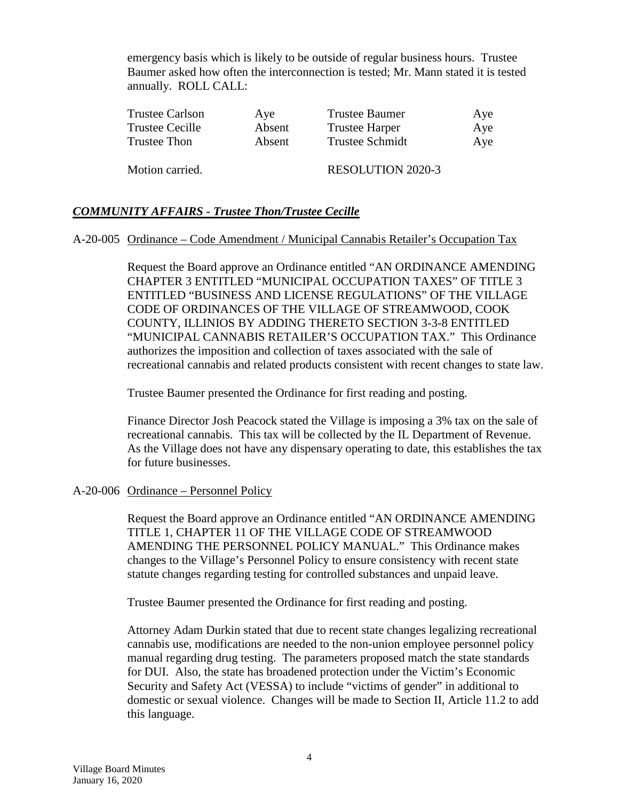emergency basis which is likely to be outside of regular business hours. Trustee Baumer asked how often the interconnection is tested; Mr. Mann stated it is tested annually. ROLL CALL:

| <b>Trustee Carlson</b> | Aye    | <b>Trustee Baumer</b>    | Aye |
|------------------------|--------|--------------------------|-----|
| Trustee Cecille        | Absent | <b>Trustee Harper</b>    | Aye |
| Trustee Thon           | Absent | <b>Trustee Schmidt</b>   | Aye |
| Motion carried.        |        | <b>RESOLUTION 2020-3</b> |     |

# *COMMUNITY AFFAIRS - Trustee Thon/Trustee Cecille*

### A-20-005 Ordinance – Code Amendment / Municipal Cannabis Retailer's Occupation Tax

Request the Board approve an Ordinance entitled "AN ORDINANCE AMENDING CHAPTER 3 ENTITLED "MUNICIPAL OCCUPATION TAXES" OF TITLE 3 ENTITLED "BUSINESS AND LICENSE REGULATIONS" OF THE VILLAGE CODE OF ORDINANCES OF THE VILLAGE OF STREAMWOOD, COOK COUNTY, ILLINIOS BY ADDING THERETO SECTION 3-3-8 ENTITLED "MUNICIPAL CANNABIS RETAILER'S OCCUPATION TAX." This Ordinance authorizes the imposition and collection of taxes associated with the sale of recreational cannabis and related products consistent with recent changes to state law.

Trustee Baumer presented the Ordinance for first reading and posting.

Finance Director Josh Peacock stated the Village is imposing a 3% tax on the sale of recreational cannabis. This tax will be collected by the IL Department of Revenue. As the Village does not have any dispensary operating to date, this establishes the tax for future businesses.

#### A-20-006 Ordinance – Personnel Policy

Request the Board approve an Ordinance entitled "AN ORDINANCE AMENDING TITLE 1, CHAPTER 11 OF THE VILLAGE CODE OF STREAMWOOD AMENDING THE PERSONNEL POLICY MANUAL." This Ordinance makes changes to the Village's Personnel Policy to ensure consistency with recent state statute changes regarding testing for controlled substances and unpaid leave.

Trustee Baumer presented the Ordinance for first reading and posting.

Attorney Adam Durkin stated that due to recent state changes legalizing recreational cannabis use, modifications are needed to the non-union employee personnel policy manual regarding drug testing. The parameters proposed match the state standards for DUI. Also, the state has broadened protection under the Victim's Economic Security and Safety Act (VESSA) to include "victims of gender" in additional to domestic or sexual violence. Changes will be made to Section II, Article 11.2 to add this language.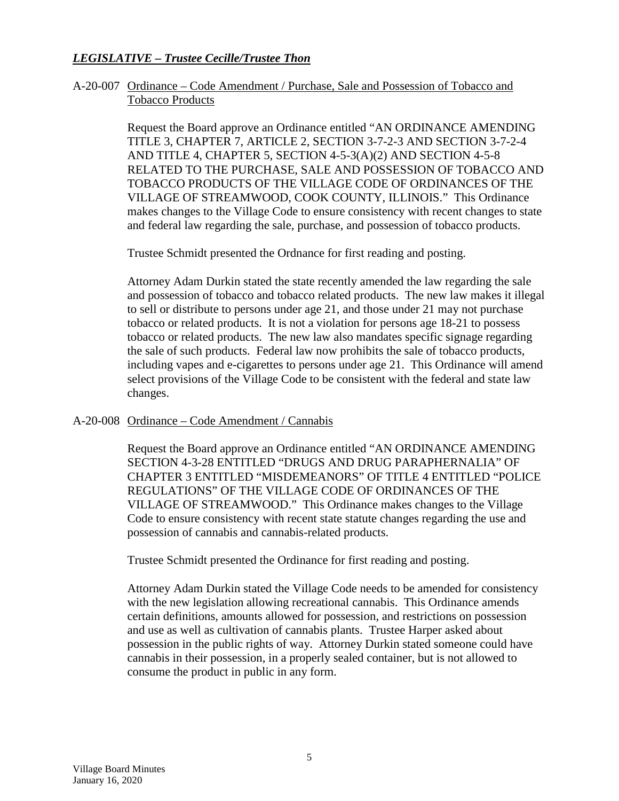# *LEGISLATIVE – Trustee Cecille/Trustee Thon*

#### A-20-007 Ordinance – Code Amendment / Purchase, Sale and Possession of Tobacco and Tobacco Products

Request the Board approve an Ordinance entitled "AN ORDINANCE AMENDING TITLE 3, CHAPTER 7, ARTICLE 2, SECTION 3-7-2-3 AND SECTION 3-7-2-4 AND TITLE 4, CHAPTER 5, SECTION 4-5-3(A)(2) AND SECTION 4-5-8 RELATED TO THE PURCHASE, SALE AND POSSESSION OF TOBACCO AND TOBACCO PRODUCTS OF THE VILLAGE CODE OF ORDINANCES OF THE VILLAGE OF STREAMWOOD, COOK COUNTY, ILLINOIS." This Ordinance makes changes to the Village Code to ensure consistency with recent changes to state and federal law regarding the sale, purchase, and possession of tobacco products.

Trustee Schmidt presented the Ordnance for first reading and posting.

Attorney Adam Durkin stated the state recently amended the law regarding the sale and possession of tobacco and tobacco related products. The new law makes it illegal to sell or distribute to persons under age 21, and those under 21 may not purchase tobacco or related products. It is not a violation for persons age 18-21 to possess tobacco or related products. The new law also mandates specific signage regarding the sale of such products. Federal law now prohibits the sale of tobacco products, including vapes and e-cigarettes to persons under age 21. This Ordinance will amend select provisions of the Village Code to be consistent with the federal and state law changes.

# A-20-008 Ordinance – Code Amendment / Cannabis

Request the Board approve an Ordinance entitled "AN ORDINANCE AMENDING SECTION 4-3-28 ENTITLED "DRUGS AND DRUG PARAPHERNALIA" OF CHAPTER 3 ENTITLED "MISDEMEANORS" OF TITLE 4 ENTITLED "POLICE REGULATIONS" OF THE VILLAGE CODE OF ORDINANCES OF THE VILLAGE OF STREAMWOOD." This Ordinance makes changes to the Village Code to ensure consistency with recent state statute changes regarding the use and possession of cannabis and cannabis-related products.

Trustee Schmidt presented the Ordinance for first reading and posting.

Attorney Adam Durkin stated the Village Code needs to be amended for consistency with the new legislation allowing recreational cannabis. This Ordinance amends certain definitions, amounts allowed for possession, and restrictions on possession and use as well as cultivation of cannabis plants. Trustee Harper asked about possession in the public rights of way. Attorney Durkin stated someone could have cannabis in their possession, in a properly sealed container, but is not allowed to consume the product in public in any form.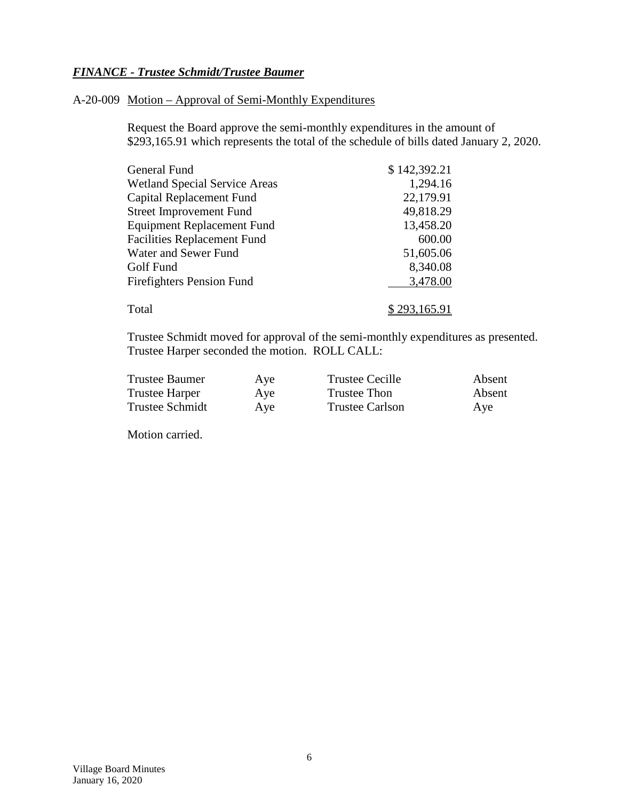# *FINANCE - Trustee Schmidt/Trustee Baumer*

#### A-20-009 Motion – Approval of Semi-Monthly Expenditures

Request the Board approve the semi-monthly expenditures in the amount of \$293,165.91 which represents the total of the schedule of bills dated January 2, 2020.

| General Fund                         | \$142,392.21        |
|--------------------------------------|---------------------|
| <b>Wetland Special Service Areas</b> | 1,294.16            |
| Capital Replacement Fund             | 22,179.91           |
| <b>Street Improvement Fund</b>       | 49,818.29           |
| <b>Equipment Replacement Fund</b>    | 13,458.20           |
| <b>Facilities Replacement Fund</b>   | 600.00              |
| Water and Sewer Fund                 | 51,605.06           |
| Golf Fund                            | 8,340.08            |
| <b>Firefighters Pension Fund</b>     | 3,478.00            |
|                                      |                     |
| Total                                | <u>\$293,165.91</u> |

Trustee Schmidt moved for approval of the semi-monthly expenditures as presented. Trustee Harper seconded the motion. ROLL CALL:

| <b>Trustee Baumer</b> | Aye | <b>Trustee Cecille</b> | Absent |
|-----------------------|-----|------------------------|--------|
| Trustee Harper        | Aye | Trustee Thon           | Absent |
| Trustee Schmidt       | Aye | <b>Trustee Carlson</b> | Aye    |

Motion carried.